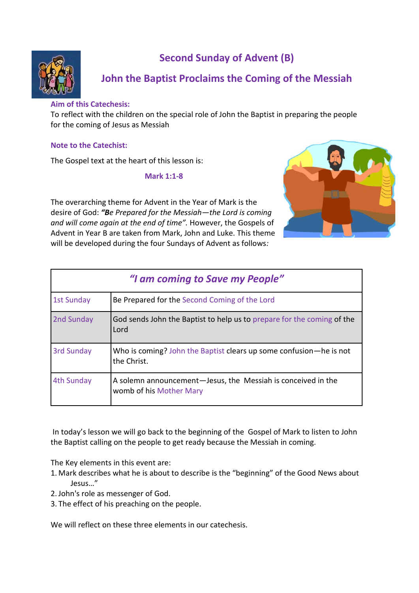

# **Second Sunday of Advent (B)**

# **John the Baptist Proclaims the Coming of the Messiah**

# **Aim of this Catechesis:**

To reflect with the children on the special role of John the Baptist in preparing the people for the coming of Jesus as Messiah

# **Note to the Catechist:**

The Gospel text at the heart of this lesson is:

#### **Mark 1:1-8**

The overarching theme for Advent in the Year of Mark is the desire of God: *"Be Prepared for the Messiah—the Lord is coming and will come again at the end of time".* However, the Gospels of Advent in Year B are taken from Mark, John and Luke. This theme will be developed during the four Sundays of Advent as follows*:*



| "I am coming to Save my People" |                                                                                         |
|---------------------------------|-----------------------------------------------------------------------------------------|
| <b>1st Sunday</b>               | Be Prepared for the Second Coming of the Lord                                           |
| 2nd Sunday                      | God sends John the Baptist to help us to prepare for the coming of the<br>Lord          |
| 3rd Sunday                      | Who is coming? John the Baptist clears up some confusion—he is not<br>the Christ.       |
| 4th Sunday                      | A solemn announcement-Jesus, the Messiah is conceived in the<br>womb of his Mother Mary |

In today's lesson we will go back to the beginning of the Gospel of Mark to listen to John the Baptist calling on the people to get ready because the Messiah in coming.

The Key elements in this event are:

- 1. Mark describes what he is about to describe is the "beginning" of the Good News about Jesus…"
- 2.John's role as messenger of God.
- 3. The effect of his preaching on the people.

We will reflect on these three elements in our catechesis.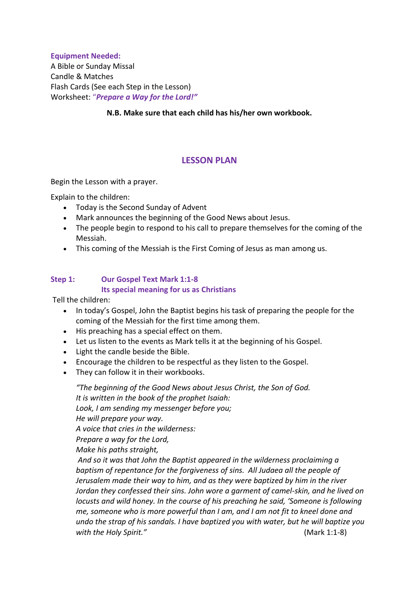### **Equipment Needed:**

A Bible or Sunday Missal Candle & Matches Flash Cards (See each Step in the Lesson) Worksheet: "*Prepare a Way for the Lord!"*

**N.B. Make sure that each child has his/her own workbook.**

# **LESSON PLAN**

Begin the Lesson with a prayer.

Explain to the children:

- Today is the Second Sunday of Advent
- Mark announces the beginning of the Good News about Jesus.
- The people begin to respond to his call to prepare themselves for the coming of the Messiah.
- This coming of the Messiah is the First Coming of Jesus as man among us.

### **Step 1: Our Gospel Text Mark 1:1-8 Its special meaning for us as Christians**

Tell the children:

- In today's Gospel, John the Baptist begins his task of preparing the people for the coming of the Messiah for the first time among them.
- His preaching has a special effect on them.
- Let us listen to the events as Mark tells it at the beginning of his Gospel.
- Light the candle beside the Bible.
- Encourage the children to be respectful as they listen to the Gospel.
- They can follow it in their workbooks.

*"The beginning of the Good News about Jesus Christ, the Son of God. It is written in the book of the prophet Isaiah: Look, I am sending my messenger before you; He will prepare your way. A voice that cries in the wilderness: Prepare a way for the Lord, Make his paths straight, And so it was that John the Baptist appeared in the wilderness proclaiming a* 

*baptism of repentance for the forgiveness of sins. All Judaea all the people of Jerusalem made their way to him, and as they were baptized by him in the river Jordan they confessed their sins. John wore a garment of camel-skin, and he lived on locusts and wild honey. In the course of his preaching he said, 'Someone is following me, someone who is more powerful than I am, and I am not fit to kneel done and undo the strap of his sandals. I have baptized you with water, but he will baptize you with the Holy Spirit."* (Mark 1:1-8)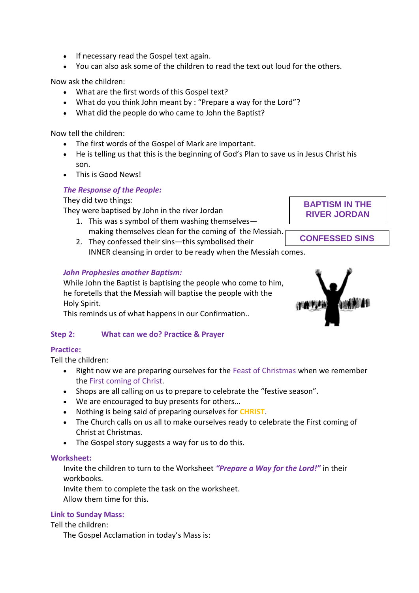- If necessary read the Gospel text again.
- You can also ask some of the children to read the text out loud for the others.

Now ask the children:

- What are the first words of this Gospel text?
- What do you think John meant by : "Prepare a way for the Lord"?
- What did the people do who came to John the Baptist?

Now tell the children:

- The first words of the Gospel of Mark are important.
- He is telling us that this is the beginning of God's Plan to save us in Jesus Christ his son.
- This is Good News!

## *The Response of the People:*

They did two things:

They were baptised by John in the river Jordan

- 1. This was s symbol of them washing themselves making themselves clean for the coming of the Messiah.
- 2. They confessed their sins—this symbolised their INNER cleansing in order to be ready when the Messiah comes. **CONFESSED SINS**

## *John Prophesies another Baptism:*

While John the Baptist is baptising the people who come to him, he foretells that the Messiah will baptise the people with the Holy Spirit.

This reminds us of what happens in our Confirmation..

## **Step 2: What can we do? Practice & Prayer**

#### **Practice:**

Tell the children:

- Right now we are preparing ourselves for the Feast of Christmas when we remember the First coming of Christ.
- Shops are all calling on us to prepare to celebrate the "festive season".
- We are encouraged to buy presents for others…
- Nothing is being said of preparing ourselves for **CHRIST**.
- The Church calls on us all to make ourselves ready to celebrate the First coming of Christ at Christmas.
- The Gospel story suggests a way for us to do this.

#### **Worksheet:**

Invite the children to turn to the Worksheet *"Prepare a Way for the Lord!"* in their workbooks.

Invite them to complete the task on the worksheet. Allow them time for this.

#### **Link to Sunday Mass:**

Tell the children:

The Gospel Acclamation in today's Mass is:



**BAPTISM IN THE RIVER JORDAN**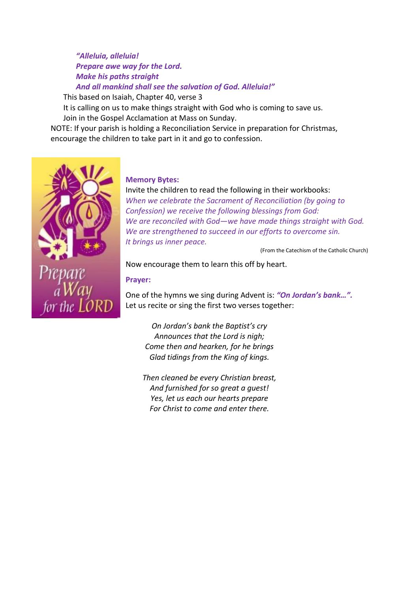*"Alleluia, alleluia! Prepare awe way for the Lord. Make his paths straight And all mankind shall see the salvation of God. Alleluia!"*

This based on Isaiah, Chapter 40, verse 3

It is calling on us to make things straight with God who is coming to save us. Join in the Gospel Acclamation at Mass on Sunday.

NOTE: If your parish is holding a Reconciliation Service in preparation for Christmas, encourage the children to take part in it and go to confession.



#### **Memory Bytes:**

Invite the children to read the following in their workbooks: *When we celebrate the Sacrament of Reconciliation (by going to Confession) we receive the following blessings from God: We are reconciled with God—we have made things straight with God. We are strengthened to succeed in our efforts to overcome sin. It brings us inner peace.* 

(From the Catechism of the Catholic Church)

Now encourage them to learn this off by heart.

#### **Prayer:**

One of the hymns we sing during Advent is: *"On Jordan's bank…".* Let us recite or sing the first two verses together:

*On Jordan's bank the Baptist's cry Announces that the Lord is nigh; Come then and hearken, for he brings Glad tidings from the King of kings.*

*Then cleaned be every Christian breast, And furnished for so great a guest! Yes, let us each our hearts prepare For Christ to come and enter there.*